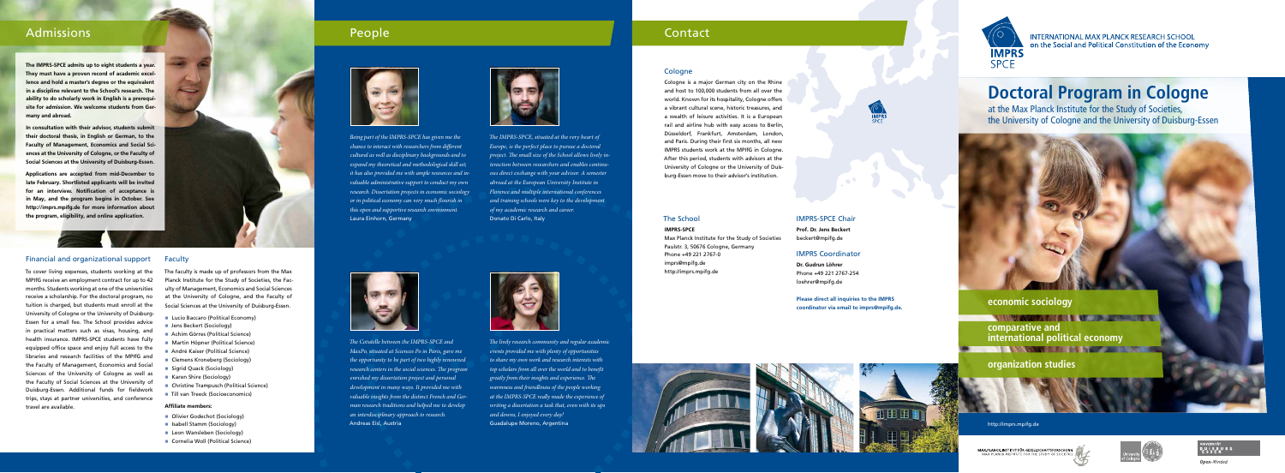

MAX-PLANCK-INSTITUT FÜR GESELLSCHAFTSFORSCHUNG

## **INTERNATIONAL MAX PLANCK RESEARCH SCHOOL** on the Social and Political Constitution of the Economy







**Open-Minded** 

# **Doctoral Program in Cologne**

at the Max Planck Institute for the Study of Societies, the University of Cologne and the University of Duisburg-Essen



Cologne is a major German city on the Rhine and host to 100,000 students from all over the world. Known for its hospitality, Cologne offers a vibrant cultural scene, historic treasures, and a wealth of leisure activities. It is a European rail and airline hub with easy access to Berlin, Düsseldorf, Frankfurt, Amsterdam, London, and Paris. During their first six months, all new IMPRS students work at the MPIfG in Cologne. After this period, students with advisors at the University of Cologne or the University of Duisburg-Essen move to their advisor's institution.

#### Financial and organizational support

To cover living expenses, students working at the MPIfG receive an employment contract for up to 42 months. Students working at one of the universities receive a scholarship. For the doctoral program, no tuition is charged, but students must enroll at the University of Cologne or the University of Duisburg-Essen for a small fee. The School provides advice in practical matters such as visas, housing, and health insurance. IMPRS-SPCE students have fully equipped office space and enjoy full access to the libraries and research facilities of the MPIfG and the Faculty of Management, Economics and Social Sciences of the University of Cologne as well as the Faculty of Social Sciences at the University of Duisburg-Essen. Additional funds for fieldwork trips, stays at partner universities, and conference travel are available.

#### **Faculty**

The faculty is made up of professors from the Max Planck Institute for the Study of Societies, the Faculty of Management, Economics and Social Sciences at the University of Cologne, and the Faculty of Social Sciences at the University of Duisburg-Essen.

- **Lucio Baccaro (Political Economy)**
- **Jens Beckert (Sociology)**
- Achim Görres (Political Science)
- Martin Höpner (Political Science)
- André Kaiser (Political Science)
- Clemens Kroneberg (Sociology)
- Sigrid Quack (Sociology)
- Karen Shire (Sociology)
- Christine Trampusch (Political Science)
- Till van Treeck (Socioeconomics)

#### **Affiliate members:**

- Olivier Godechot (Sociology)
- **B** Isabell Stamm (Sociology)
- **Leon Wansleben (Sociology)**
- Cornelia Woll (Political Science)





# **IMPRS-SPCE**

Max Planck Institute for the Study of Societies Paulstr. 3, 50676 Cologne, Germany Phone +49 221 2767-0 imprs@mpifg.de http://imprs.mpifg.de



#### IMPRS-SPCE Chair

**Prof. Dr. Jens Beckert** beckert@mpifg.de

#### IMPRS Coordinator

**Dr. Gudrun Löhrer** Phone +49 221 2767-254 loehrer@mpifg.de

**Please direct all inquiries to the IMPRS coordinator via email to imprs@mpifg.de.**



*The IMPRS-SPCE, situated at the very heart of Europe, is the perfect place to pursue a doctoral project. The small size of the School allows lively interaction between researchers and enables continuous direct exchange with your advisor. A semester abroad at the European University Institute in Florence and multiple international conferences and training schools were key to the development of my academic research and career.* Donato Di Carlo, Italy



*The lively research community and regular academic events provided me with plenty of opportunities to share my own work and research interests with top scholars from all over the world and to benefit greatly from their insights and experience. The warmness and friendliness of the people working at the IMPRS-SPCE really made the experience of writing a dissertation a task that, even with its ups and downs, I enjoyed every day!* Guadalupe Moreno, Argentina





#### **Cologne**

*The Cotutelle between the IMPRS-SPCE and MaxPo, situated at Sciences Po in Paris, gave me the opportunity to be part of two highly renowned research centers in the social sciences. The program enriched my dissertation project and personal development in many ways. It provided me with valuable insights from the distinct French and German research traditions and helped me to develop an interdisciplinary approach to research.* Andreas Eisl, Austria



*Being part of the IMPRS-SPCE has given me the chance to interact with researchers from different cultural as well as disciplinary backgrounds and to expand my theoretical and methodological skill set; it has also provided me with ample resources and invaluable administrative support to conduct my own research. Dissertation projects in economic sociology or in political economy can very much flourish in this open and supportive research environment.* Laura Einhorn, Germany



# Admissions and the contact of the contact of the People Contact of the contact of the contact of the contact o

**The IMPRS-SPCE admits up to eight students a year. They must have a proven record of academic excellence and hold a master's degree or the equivalent in a discipline relevant to the School's research. The ability to do scholarly work in English is a prerequisite for admission. We welcome students from Germany and abroad.** 

**In consultation with their advisor, students submit their doctoral thesis, in English or German, to the Faculty of Management, Economics and Social Sciences at the University of Cologne, or the Faculty of Social Sciences at the University of Duisburg-Essen.**

**Applications are accepted from mid-December to late February. Shortlisted applicants will be invited for an interview. Notification of acceptance is in May, and the program begins in October. See http://imprs.mpifg.de for more information about the program, eligibility, and online application.**